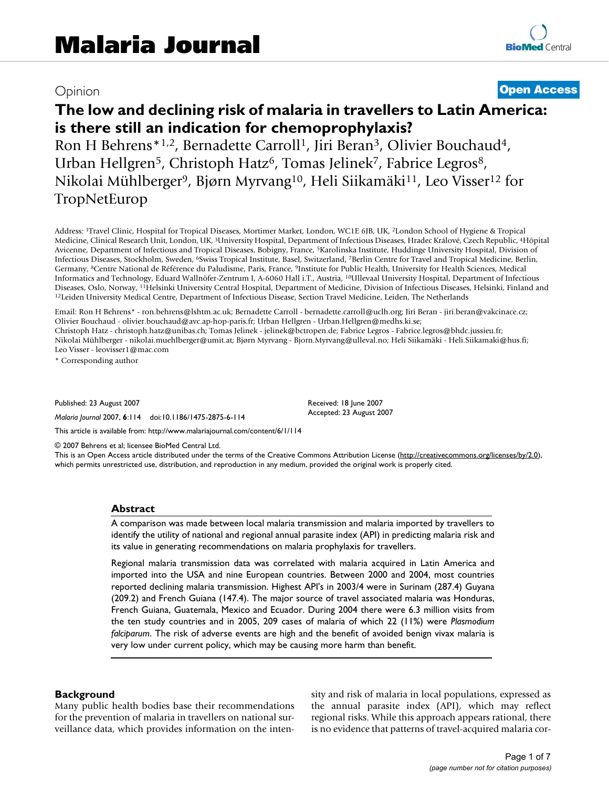# Opinion **[Open Access](http://www.biomedcentral.com/info/about/charter/)**

# **The low and declining risk of malaria in travellers to Latin America: is there still an indication for chemoprophylaxis?**

Ron H Behrens<sup>\*1,2</sup>, Bernadette Carroll<sup>1</sup>, Jiri Beran<sup>3</sup>, Olivier Bouchaud<sup>4</sup>, Urban Hellgren<sup>5</sup>, Christoph Hatz<sup>6</sup>, Tomas Jelinek<sup>7</sup>, Fabrice Legros<sup>8</sup>, Nikolai Mühlberger9, Bjørn Myrvang10, Heli Siikamäki11, Leo Visser12 for **TropNetEurop** 

Address: 1Travel Clinic, Hospital for Tropical Diseases, Mortimer Market, London, WC1E 6JB, UK, 2London School of Hygiene & Tropical Medicine, Clinical Research Unit, London, UK, 3University Hospital, Department of Infectious Diseases, Hradec Králové, Czech Republic, 4Hôpital Avicenne, Department of Infectious and Tropical Diseases, Bobigny, France, 5Karolinska Institute, Huddinge University Hospital, Division of Infectious Diseases, Stockholm, Sweden, 6Swiss Tropical Institute, Basel, Switzerland, 7Berlin Centre for Travel and Tropical Medicine, Berlin, Germany, 8Centre National de Référence du Paludisme, Paris, France, 9Institute for Public Health, University for Health Sciences, Medical Informatics and Technology, Eduard Wallnöfer-Zentrum I, A-6060 Hall i.T., Austria, 10Ullevaal University Hospital, Department of Infectious Diseases, Oslo, Norway, <sup>11</sup>Helsinki University Central Hospital, Department of Medicine, Division of Infectious Diseases, Helsinki, Finland and <sup>12</sup>Leiden University Medical Centre, Department of Infectious Disease, Secti

Email: Ron H Behrens\* - ron.behrens@lshtm.ac.uk; Bernadette Carroll - bernadette.carroll@uclh.org; Jiri Beran - jiri.beran@vakcinace.cz; Olivier Bouchaud - olivier.bouchaud@avc.ap-hop-paris.fr; Urban Hellgren - Urban.Hellgren@medhs.ki.se; Christoph Hatz - christoph.hatz@unibas.ch; Tomas Jelinek - jelinek@bctropen.de; Fabrice Legros - Fabrice.legros@bhdc.jussieu.fr; Nikolai Mühlberger - nikolai.muehlberger@umit.at; Bjørn Myrvang - Bjorn.Myrvang@ulleval.no; Heli Siikamäki - Heli.Siikamaki@hus.fi; Leo Visser - leovisser1@mac.com

\* Corresponding author

Published: 23 August 2007

*Malaria Journal* 2007, **6**:114 doi:10.1186/1475-2875-6-114

[This article is available from: http://www.malariajournal.com/content/6/1/114](http://www.malariajournal.com/content/6/1/114)

© 2007 Behrens et al; licensee BioMed Central Ltd.

This is an Open Access article distributed under the terms of the Creative Commons Attribution License [\(http://creativecommons.org/licenses/by/2.0\)](http://creativecommons.org/licenses/by/2.0), which permits unrestricted use, distribution, and reproduction in any medium, provided the original work is properly cited.

Received: 18 June 2007 Accepted: 23 August 2007

#### **Abstract**

A comparison was made between local malaria transmission and malaria imported by travellers to identify the utility of national and regional annual parasite index (API) in predicting malaria risk and its value in generating recommendations on malaria prophylaxis for travellers.

Regional malaria transmission data was correlated with malaria acquired in Latin America and imported into the USA and nine European countries. Between 2000 and 2004, most countries reported declining malaria transmission. Highest API's in 2003/4 were in Surinam (287.4) Guyana (209.2) and French Guiana (147.4). The major source of travel associated malaria was Honduras, French Guiana, Guatemala, Mexico and Ecuador. During 2004 there were 6.3 million visits from the ten study countries and in 2005, 209 cases of malaria of which 22 (11%) were *Plasmodium falciparum*. The risk of adverse events are high and the benefit of avoided benign vivax malaria is very low under current policy, which may be causing more harm than benefit.

#### **Background**

Many public health bodies base their recommendations for the prevention of malaria in travellers on national surveillance data, which provides information on the intensity and risk of malaria in local populations, expressed as the annual parasite index (API), which may reflect regional risks. While this approach appears rational, there is no evidence that patterns of travel-acquired malaria cor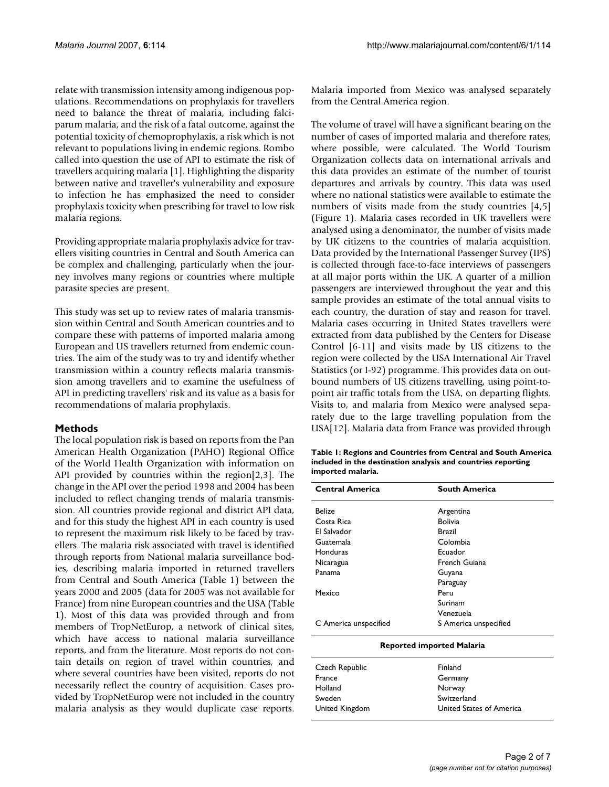relate with transmission intensity among indigenous populations. Recommendations on prophylaxis for travellers need to balance the threat of malaria, including falciparum malaria, and the risk of a fatal outcome, against the potential toxicity of chemoprophylaxis, a risk which is not relevant to populations living in endemic regions. Rombo called into question the use of API to estimate the risk of travellers acquiring malaria [1]. Highlighting the disparity between native and traveller's vulnerability and exposure to infection he has emphasized the need to consider prophylaxis toxicity when prescribing for travel to low risk malaria regions.

Providing appropriate malaria prophylaxis advice for travellers visiting countries in Central and South America can be complex and challenging, particularly when the journey involves many regions or countries where multiple parasite species are present.

This study was set up to review rates of malaria transmission within Central and South American countries and to compare these with patterns of imported malaria among European and US travellers returned from endemic countries. The aim of the study was to try and identify whether transmission within a country reflects malaria transmission among travellers and to examine the usefulness of API in predicting travellers' risk and its value as a basis for recommendations of malaria prophylaxis.

# **Methods**

The local population risk is based on reports from the Pan American Health Organization (PAHO) Regional Office of the World Health Organization with information on API provided by countries within the region[2,3]. The change in the API over the period 1998 and 2004 has been included to reflect changing trends of malaria transmission. All countries provide regional and district API data, and for this study the highest API in each country is used to represent the maximum risk likely to be faced by travellers. The malaria risk associated with travel is identified through reports from National malaria surveillance bodies, describing malaria imported in returned travellers from Central and South America (Table 1) between the years 2000 and 2005 (data for 2005 was not available for France) from nine European countries and the USA (Table 1). Most of this data was provided through and from members of TropNetEurop, a network of clinical sites, which have access to national malaria surveillance reports, and from the literature. Most reports do not contain details on region of travel within countries, and where several countries have been visited, reports do not necessarily reflect the country of acquisition. Cases provided by TropNetEurop were not included in the country malaria analysis as they would duplicate case reports.

Malaria imported from Mexico was analysed separately from the Central America region.

The volume of travel will have a significant bearing on the number of cases of imported malaria and therefore rates, where possible, were calculated. The World Tourism Organization collects data on international arrivals and this data provides an estimate of the number of tourist departures and arrivals by country. This data was used where no national statistics were available to estimate the numbers of visits made from the study countries [4,5] (Figure 1). Malaria cases recorded in UK travellers were analysed using a denominator, the number of visits made by UK citizens to the countries of malaria acquisition. Data provided by the International Passenger Survey (IPS) is collected through face-to-face interviews of passengers at all major ports within the UK. A quarter of a million passengers are interviewed throughout the year and this sample provides an estimate of the total annual visits to each country, the duration of stay and reason for travel. Malaria cases occurring in United States travellers were extracted from data published by the Centers for Disease Control [6-11] and visits made by US citizens to the region were collected by the USA International Air Travel Statistics (or I-92) programme. This provides data on outbound numbers of US citizens travelling, using point-topoint air traffic totals from the USA, on departing flights. Visits to, and malaria from Mexico were analysed separately due to the large travelling population from the USA[12]. Malaria data from France was provided through

**Table 1: Regions and Countries from Central and South America included in the destination analysis and countries reporting imported malaria.**

| <b>Central America</b> | <b>South America</b>             |  |  |  |
|------------------------|----------------------------------|--|--|--|
| <b>Belize</b>          | Argentina                        |  |  |  |
| Costa Rica             | <b>Bolivia</b>                   |  |  |  |
| El Salvador            | <b>Brazil</b>                    |  |  |  |
| Guatemala              | Colombia                         |  |  |  |
| Honduras               | Ecuador                          |  |  |  |
| Nicaragua              | French Guiana                    |  |  |  |
| Panama                 | Guyana                           |  |  |  |
|                        | Paraguay                         |  |  |  |
| Mexico                 | Peru                             |  |  |  |
|                        | Surinam                          |  |  |  |
|                        | Venezuela                        |  |  |  |
| C America unspecified  | S America unspecified            |  |  |  |
|                        | <b>Reported imported Malaria</b> |  |  |  |
| Czech Republic         | Finland                          |  |  |  |
| France                 | Germany                          |  |  |  |
| Holland                | Norway                           |  |  |  |
| Sweden                 | Switzerland                      |  |  |  |
| United Kingdom         | United States of America         |  |  |  |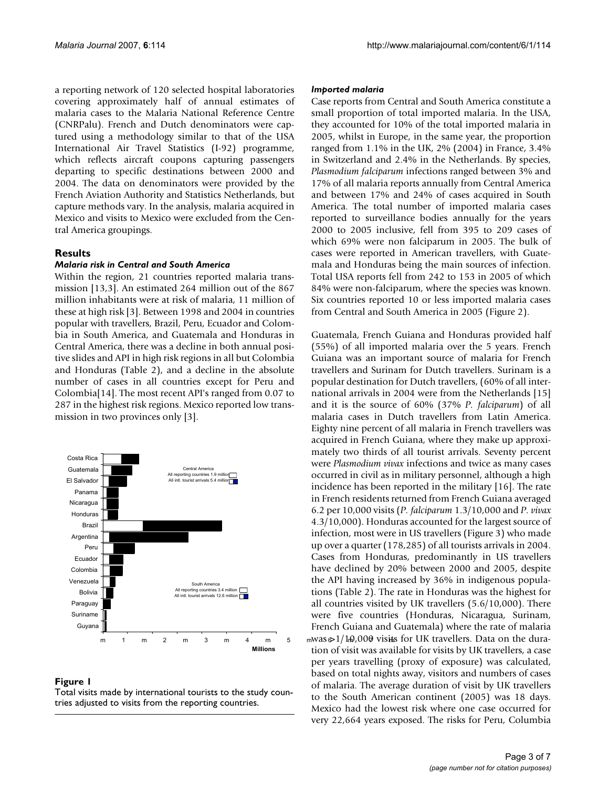a reporting network of 120 selected hospital laboratories covering approximately half of annual estimates of malaria cases to the Malaria National Reference Centre (CNRPalu). French and Dutch denominators were captured using a methodology similar to that of the USA International Air Travel Statistics (I-92) programme, which reflects aircraft coupons capturing passengers departing to specific destinations between 2000 and 2004. The data on denominators were provided by the French Aviation Authority and Statistics Netherlands, but capture methods vary. In the analysis, malaria acquired in Mexico and visits to Mexico were excluded from the Central America groupings.

# **Results**

# *Malaria risk in Central and South America*

Within the region, 21 countries reported malaria transmission [13,3]. An estimated 264 million out of the 867 million inhabitants were at risk of malaria, 11 million of these at high risk [3]. Between 1998 and 2004 in countries popular with travellers, Brazil, Peru, Ecuador and Colombia in South America, and Guatemala and Honduras in Central America, there was a decline in both annual positive slides and API in high risk regions in all but Colombia and Honduras (Table 2), and a decline in the absolute number of cases in all countries except for Peru and Colombia[14]. The most recent API's ranged from 0.07 to 287 in the highest risk regions. Mexico reported low transmission in two provinces only [3].



### Figure 1

Total visits made by international tourists to the study countries adjusted to visits from the reporting countries.

#### *Imported malaria*

Case reports from Central and South America constitute a small proportion of total imported malaria. In the USA, they accounted for 10% of the total imported malaria in 2005, whilst in Europe, in the same year, the proportion ranged from 1.1% in the UK, 2% (2004) in France, 3.4% in Switzerland and 2.4% in the Netherlands. By species, *Plasmodium falciparum* infections ranged between 3% and 17% of all malaria reports annually from Central America and between 17% and 24% of cases acquired in South America. The total number of imported malaria cases reported to surveillance bodies annually for the years 2000 to 2005 inclusive, fell from 395 to 209 cases of which 69% were non falciparum in 2005. The bulk of cases were reported in American travellers, with Guatemala and Honduras being the main sources of infection. Total USA reports fell from 242 to 153 in 2005 of which 84% were non-falciparum, where the species was known. Six countries reported 10 or less imported malaria cases from Central and South America in 2005 (Figure 2).

Guatemala, French Guiana and Honduras provided half (55%) of all imported malaria over the 5 years. French Guiana was an important source of malaria for French travellers and Surinam for Dutch travellers. Surinam is a popular destination for Dutch travellers, (60% of all international arrivals in 2004 were from the Netherlands [15] and it is the source of 60% (37% *P. falciparum*) of all malaria cases in Dutch travellers from Latin America. Eighty nine percent of all malaria in French travellers was acquired in French Guiana, where they make up approximately two thirds of all tourist arrivals. Seventy percent were *Plasmodium vivax* infections and twice as many cases occurred in civil as in military personnel, although a high incidence has been reported in the military [16]. The rate in French residents returned from French Guiana averaged 6.2 per 10,000 visits (*P. falciparum* 1.3/10,000 and *P. vivax* 4.3/10,000). Honduras accounted for the largest source of infection, most were in US travellers (Figure 3) who made up over a quarter (178,285) of all tourists arrivals in 2004. Cases from Honduras, predominantly in US travellers have declined by 20% between 2000 and 2005, despite the API having increased by 36% in indigenous populations (Table 2). The rate in Honduras was the highest for all countries visited by UK travellers (5.6/10,000). There were five countries (Honduras, Nicaragua, Surinam, French Guiana and Guatemala) where the rate of malaria m 1 m 2 m 3 m 4 m 5 mWas $\odot$ 1/1,0,000 visits for UK travellers. Data on the duration of visit was available for visits by UK travellers, a case per years travelling (proxy of exposure) was calculated, based on total nights away, visitors and numbers of cases of malaria. The average duration of visit by UK travellers to the South American continent (2005) was 18 days. Mexico had the lowest risk where one case occurred for very 22,664 years exposed. The risks for Peru, Columbia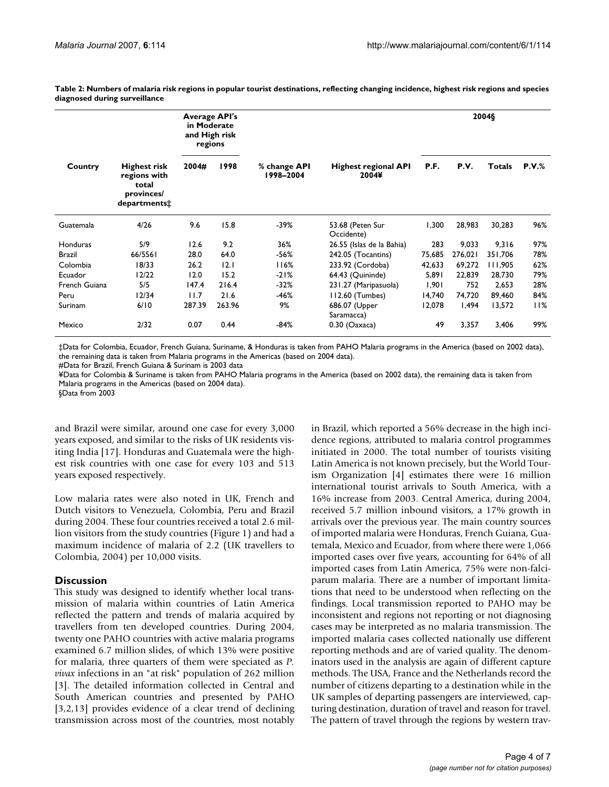|               |                                                                                        | <b>Average API's</b><br>in Moderate<br>and High risk<br>regions |        |                           |                                      | 20048  |         |         |          |
|---------------|----------------------------------------------------------------------------------------|-----------------------------------------------------------------|--------|---------------------------|--------------------------------------|--------|---------|---------|----------|
| Country       | <b>Highest risk</b><br>regions with<br>total<br>provinces/<br>departments <sup>+</sup> | 2004#                                                           | 1998   | % change API<br>1998-2004 | <b>Highest regional API</b><br>2004¥ | P.F.   | P.V.    | Totals  | $P.V.$ % |
| Guatemala     | 4/26                                                                                   | 9.6                                                             | 15.8   | -39%                      | 53.68 (Peten Sur<br>Occidente)       | 1,300  | 28,983  | 30,283  | 96%      |
| Honduras      | 5/9                                                                                    | 12.6                                                            | 9.2    | 36%                       | 26.55 (Islas de la Bahia)            | 283    | 9,033   | 9,316   | 97%      |
| Brazil        | 66/5561                                                                                | 28.0                                                            | 64.0   | -56%                      | 242.05 (Tocantins)                   | 75,685 | 276.021 | 351,706 | 78%      |
| Colombia      | 18/33                                                                                  | 26.2                                                            | 2.1    | 116%                      | 233.92 (Cordoba)                     | 42,633 | 69,272  | 111,905 | 62%      |
| Ecuador       | 12/22                                                                                  | 12.0                                                            | 15.2   | $-21%$                    | 64.43 (Quininde)                     | 5,891  | 22,839  | 28,730  | 79%      |
| French Guiana | 5/5                                                                                    | 147.4                                                           | 216.4  | $-32%$                    | 231.27 (Maripasuola)                 | 1,901  | 752     | 2,653   | 28%      |
| Peru          | 12/34                                                                                  | 11.7                                                            | 21.6   | -46%                      | 112.60 (Tumbes)                      | 14,740 | 74,720  | 89,460  | 84%      |
| Surinam       | 6/10                                                                                   | 287.39                                                          | 263.96 | 9%                        | 686.07 (Upper<br>Saramacca)          | 12,078 | 1,494   | 13,572  | 11%      |
| Mexico        | 2/32                                                                                   | 0.07                                                            | 0.44   | $-84%$                    | $0.30$ (Oaxaca)                      | 49     | 3,357   | 3,406   | 99%      |

**Table 2: Numbers of malaria risk regions in popular tourist destinations, reflecting changing incidence, highest risk regions and species diagnosed during surveillance**

‡Data for Colombia, Ecuador, French Guiana, Suriname, & Honduras is taken from PAHO Malaria programs in the America (based on 2002 data), the remaining data is taken from Malaria programs in the Americas (based on 2004 data).

#Data for Brazil, French Guiana & Surinam is 2003 data

¥Data for Colombia & Suriname is taken from PAHO Malaria programs in the America (based on 2002 data), the remaining data is taken from Malaria programs in the Americas (based on 2004 data).

§Data from 2003

and Brazil were similar, around one case for every 3,000 years exposed, and similar to the risks of UK residents visiting India [17]. Honduras and Guatemala were the highest risk countries with one case for every 103 and 513 years exposed respectively.

Low malaria rates were also noted in UK, French and Dutch visitors to Venezuela, Colombia, Peru and Brazil during 2004. These four countries received a total 2.6 million visitors from the study countries (Figure 1) and had a maximum incidence of malaria of 2.2 (UK travellers to Colombia, 2004) per 10,000 visits.

### **Discussion**

This study was designed to identify whether local transmission of malaria within countries of Latin America reflected the pattern and trends of malaria acquired by travellers from ten developed countries. During 2004, twenty one PAHO countries with active malaria programs examined 6.7 million slides, of which 13% were positive for malaria, three quarters of them were speciated as *P. vivax* infections in an "at risk" population of 262 million [3]. The detailed information collected in Central and South American countries and presented by PAHO [3,2,13] provides evidence of a clear trend of declining transmission across most of the countries, most notably in Brazil, which reported a 56% decrease in the high incidence regions, attributed to malaria control programmes initiated in 2000. The total number of tourists visiting Latin America is not known precisely, but the World Tourism Organization [4] estimates there were 16 million international tourist arrivals to South America, with a 16% increase from 2003. Central America, during 2004, received 5.7 million inbound visitors, a 17% growth in arrivals over the previous year. The main country sources of imported malaria were Honduras, French Guiana, Guatemala, Mexico and Ecuador, from where there were 1,066 imported cases over five years, accounting for 64% of all imported cases from Latin America, 75% were non-falciparum malaria. There are a number of important limitations that need to be understood when reflecting on the findings. Local transmission reported to PAHO may be inconsistent and regions not reporting or not diagnosing cases may be interpreted as no malaria transmission. The imported malaria cases collected nationally use different reporting methods and are of varied quality. The denominators used in the analysis are again of different capture methods. The USA, France and the Netherlands record the number of citizens departing to a destination while in the UK samples of departing passengers are interviewed, capturing destination, duration of travel and reason for travel. The pattern of travel through the regions by western trav-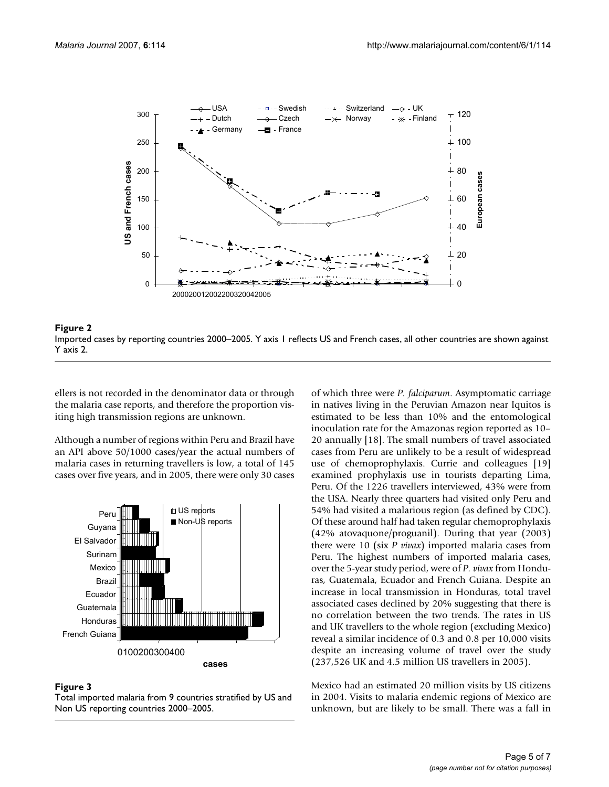



ellers is not recorded in the denominator data or through the malaria case reports, and therefore the proportion visiting high transmission regions are unknown.

Although a number of regions within Peru and Brazil have an API above 50/1000 cases/year the actual numbers of malaria cases in returning travellers is low, a total of 145 cases over five years, and in 2005, there were only 30 cases



#### Figure 3

Total imported malaria from 9 countries stratified by US and Non US reporting countries 2000–2005.

of which three were *P. falciparum*. Asymptomatic carriage in natives living in the Peruvian Amazon near Iquitos is estimated to be less than 10% and the entomological inoculation rate for the Amazonas region reported as 10– 20 annually [18]. The small numbers of travel associated cases from Peru are unlikely to be a result of widespread use of chemoprophylaxis. Currie and colleagues [19] examined prophylaxis use in tourists departing Lima, Peru. Of the 1226 travellers interviewed, 43% were from the USA. Nearly three quarters had visited only Peru and 54% had visited a malarious region (as defined by CDC). Of these around half had taken regular chemoprophylaxis (42% atovaquone/proguanil). During that year (2003) there were 10 (six *P vivax*) imported malaria cases from Peru. The highest numbers of imported malaria cases, over the 5-year study period, were of *P. vivax* from Honduras, Guatemala, Ecuador and French Guiana. Despite an increase in local transmission in Honduras, total travel associated cases declined by 20% suggesting that there is no correlation between the two trends. The rates in US and UK travellers to the whole region (excluding Mexico) reveal a similar incidence of 0.3 and 0.8 per 10,000 visits despite an increasing volume of travel over the study (237,526 UK and 4.5 million US travellers in 2005).

Mexico had an estimated 20 million visits by US citizens in 2004. Visits to malaria endemic regions of Mexico are unknown, but are likely to be small. There was a fall in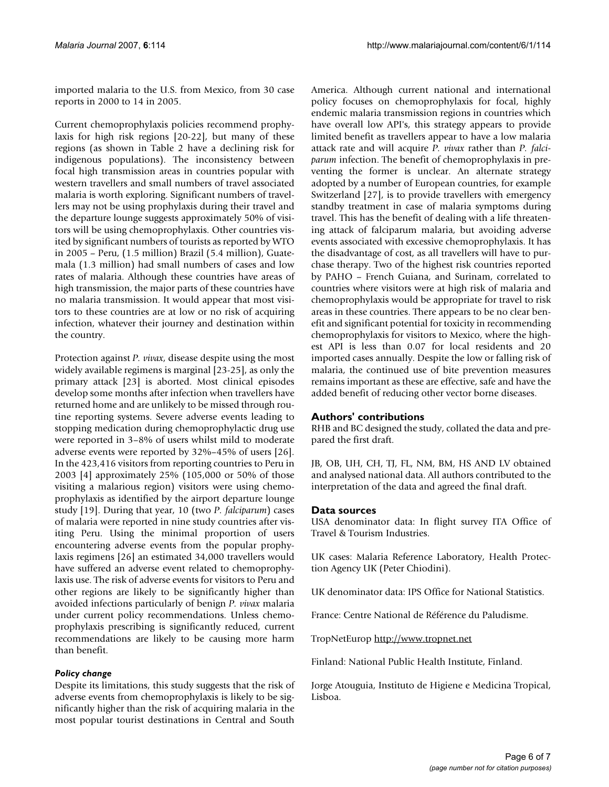imported malaria to the U.S. from Mexico, from 30 case reports in 2000 to 14 in 2005.

Current chemoprophylaxis policies recommend prophylaxis for high risk regions [20-22], but many of these regions (as shown in Table 2 have a declining risk for indigenous populations). The inconsistency between focal high transmission areas in countries popular with western travellers and small numbers of travel associated malaria is worth exploring. Significant numbers of travellers may not be using prophylaxis during their travel and the departure lounge suggests approximately 50% of visitors will be using chemoprophylaxis. Other countries visited by significant numbers of tourists as reported by WTO in 2005 – Peru, (1.5 million) Brazil (5.4 million), Guatemala (1.3 million) had small numbers of cases and low rates of malaria. Although these countries have areas of high transmission, the major parts of these countries have no malaria transmission. It would appear that most visitors to these countries are at low or no risk of acquiring infection, whatever their journey and destination within the country.

Protection against *P. vivax*, disease despite using the most widely available regimens is marginal [23-25], as only the primary attack [23] is aborted. Most clinical episodes develop some months after infection when travellers have returned home and are unlikely to be missed through routine reporting systems. Severe adverse events leading to stopping medication during chemoprophylactic drug use were reported in 3–8% of users whilst mild to moderate adverse events were reported by 32%–45% of users [26]. In the 423,416 visitors from reporting countries to Peru in 2003 [4] approximately 25% (105,000 or 50% of those visiting a malarious region) visitors were using chemoprophylaxis as identified by the airport departure lounge study [19]. During that year, 10 (two *P. falciparum*) cases of malaria were reported in nine study countries after visiting Peru. Using the minimal proportion of users encountering adverse events from the popular prophylaxis regimens [26] an estimated 34,000 travellers would have suffered an adverse event related to chemoprophylaxis use. The risk of adverse events for visitors to Peru and other regions are likely to be significantly higher than avoided infections particularly of benign *P. vivax* malaria under current policy recommendations. Unless chemoprophylaxis prescribing is significantly reduced, current recommendations are likely to be causing more harm than benefit.

### *Policy change*

Despite its limitations, this study suggests that the risk of adverse events from chemoprophylaxis is likely to be significantly higher than the risk of acquiring malaria in the most popular tourist destinations in Central and South America. Although current national and international policy focuses on chemoprophylaxis for focal, highly endemic malaria transmission regions in countries which have overall low API's, this strategy appears to provide limited benefit as travellers appear to have a low malaria attack rate and will acquire *P. vivax* rather than *P. falciparum* infection. The benefit of chemoprophylaxis in preventing the former is unclear. An alternate strategy adopted by a number of European countries, for example Switzerland [27], is to provide travellers with emergency standby treatment in case of malaria symptoms during travel. This has the benefit of dealing with a life threatening attack of falciparum malaria, but avoiding adverse events associated with excessive chemoprophylaxis. It has the disadvantage of cost, as all travellers will have to purchase therapy. Two of the highest risk countries reported by PAHO – French Guiana, and Surinam, correlated to countries where visitors were at high risk of malaria and chemoprophylaxis would be appropriate for travel to risk areas in these countries. There appears to be no clear benefit and significant potential for toxicity in recommending chemoprophylaxis for visitors to Mexico, where the highest API is less than 0.07 for local residents and 20 imported cases annually. Despite the low or falling risk of malaria, the continued use of bite prevention measures remains important as these are effective, safe and have the added benefit of reducing other vector borne diseases.

# **Authors' contributions**

RHB and BC designed the study, collated the data and prepared the first draft.

JB, OB, UH, CH, TJ, FL, NM, BM, HS AND LV obtained and analysed national data. All authors contributed to the interpretation of the data and agreed the final draft.

### **Data sources**

USA denominator data: In flight survey ITA Office of Travel & Tourism Industries.

UK cases: Malaria Reference Laboratory, Health Protection Agency UK (Peter Chiodini).

UK denominator data: IPS Office for National Statistics.

France: Centre National de Référence du Paludisme.

TropNetEurop<http://www.tropnet.net>

Finland: National Public Health Institute, Finland.

Jorge Atouguia, Instituto de Higiene e Medicina Tropical, Lisboa.